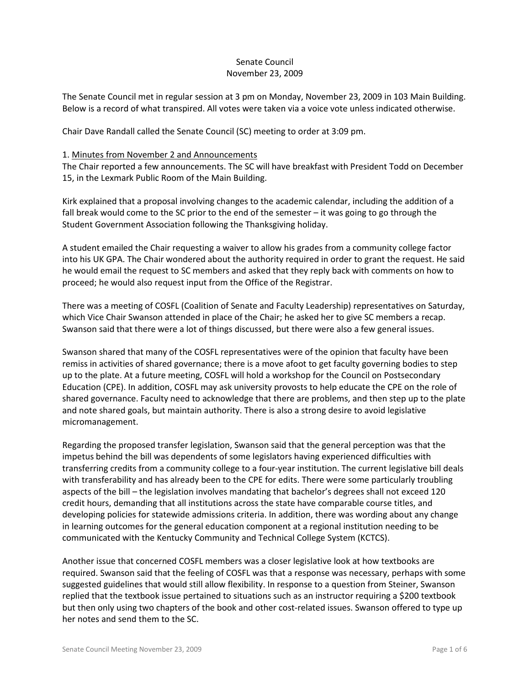# Senate Council November 23, 2009

The Senate Council met in regular session at 3 pm on Monday, November 23, 2009 in 103 Main Building. Below is a record of what transpired. All votes were taken via a voice vote unless indicated otherwise.

Chair Dave Randall called the Senate Council (SC) meeting to order at 3:09 pm.

### 1. Minutes from November 2 and Announcements

The Chair reported a few announcements. The SC will have breakfast with President Todd on December 15, in the Lexmark Public Room of the Main Building.

Kirk explained that a proposal involving changes to the academic calendar, including the addition of a fall break would come to the SC prior to the end of the semester – it was going to go through the Student Government Association following the Thanksgiving holiday.

A student emailed the Chair requesting a waiver to allow his grades from a community college factor into his UK GPA. The Chair wondered about the authority required in order to grant the request. He said he would email the request to SC members and asked that they reply back with comments on how to proceed; he would also request input from the Office of the Registrar.

There was a meeting of COSFL (Coalition of Senate and Faculty Leadership) representatives on Saturday, which Vice Chair Swanson attended in place of the Chair; he asked her to give SC members a recap. Swanson said that there were a lot of things discussed, but there were also a few general issues.

Swanson shared that many of the COSFL representatives were of the opinion that faculty have been remiss in activities of shared governance; there is a move afoot to get faculty governing bodies to step up to the plate. At a future meeting, COSFL will hold a workshop for the Council on Postsecondary Education (CPE). In addition, COSFL may ask university provosts to help educate the CPE on the role of shared governance. Faculty need to acknowledge that there are problems, and then step up to the plate and note shared goals, but maintain authority. There is also a strong desire to avoid legislative micromanagement.

Regarding the proposed transfer legislation, Swanson said that the general perception was that the impetus behind the bill was dependents of some legislators having experienced difficulties with transferring credits from a community college to a four-year institution. The current legislative bill deals with transferability and has already been to the CPE for edits. There were some particularly troubling aspects of the bill – the legislation involves mandating that bachelor's degrees shall not exceed 120 credit hours, demanding that all institutions across the state have comparable course titles, and developing policies for statewide admissions criteria. In addition, there was wording about any change in learning outcomes for the general education component at a regional institution needing to be communicated with the Kentucky Community and Technical College System (KCTCS).

Another issue that concerned COSFL members was a closer legislative look at how textbooks are required. Swanson said that the feeling of COSFL was that a response was necessary, perhaps with some suggested guidelines that would still allow flexibility. In response to a question from Steiner, Swanson replied that the textbook issue pertained to situations such as an instructor requiring a \$200 textbook but then only using two chapters of the book and other cost-related issues. Swanson offered to type up her notes and send them to the SC.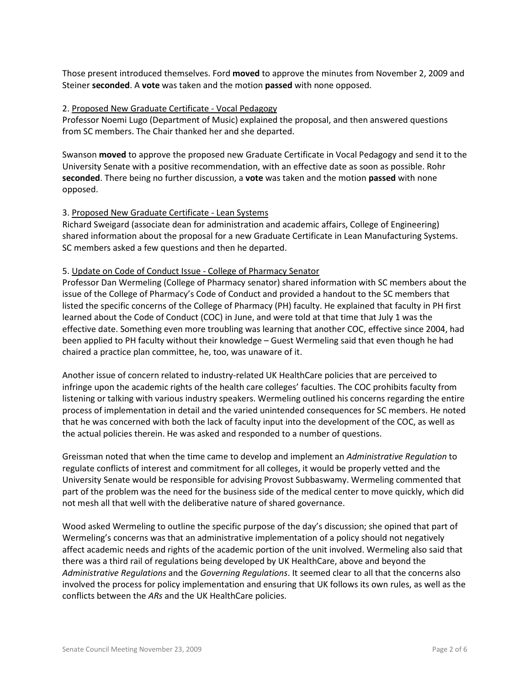Those present introduced themselves. Ford **moved** to approve the minutes from November 2, 2009 and Steiner **seconded**. A **vote** was taken and the motion **passed** with none opposed.

#### 2. Proposed New Graduate Certificate - Vocal Pedagogy

Professor Noemi Lugo (Department of Music) explained the proposal, and then answered questions from SC members. The Chair thanked her and she departed.

Swanson **moved** to approve the proposed new Graduate Certificate in Vocal Pedagogy and send it to the University Senate with a positive recommendation, with an effective date as soon as possible. Rohr **seconded**. There being no further discussion, a **vote** was taken and the motion **passed** with none opposed.

### 3. Proposed New Graduate Certificate - Lean Systems

Richard Sweigard (associate dean for administration and academic affairs, College of Engineering) shared information about the proposal for a new Graduate Certificate in Lean Manufacturing Systems. SC members asked a few questions and then he departed.

### 5. Update on Code of Conduct Issue - College of Pharmacy Senator

Professor Dan Wermeling (College of Pharmacy senator) shared information with SC members about the issue of the College of Pharmacy's Code of Conduct and provided a handout to the SC members that listed the specific concerns of the College of Pharmacy (PH) faculty. He explained that faculty in PH first learned about the Code of Conduct (COC) in June, and were told at that time that July 1 was the effective date. Something even more troubling was learning that another COC, effective since 2004, had been applied to PH faculty without their knowledge – Guest Wermeling said that even though he had chaired a practice plan committee, he, too, was unaware of it.

Another issue of concern related to industry-related UK HealthCare policies that are perceived to infringe upon the academic rights of the health care colleges' faculties. The COC prohibits faculty from listening or talking with various industry speakers. Wermeling outlined his concerns regarding the entire process of implementation in detail and the varied unintended consequences for SC members. He noted that he was concerned with both the lack of faculty input into the development of the COC, as well as the actual policies therein. He was asked and responded to a number of questions.

Greissman noted that when the time came to develop and implement an *Administrative Regulation* to regulate conflicts of interest and commitment for all colleges, it would be properly vetted and the University Senate would be responsible for advising Provost Subbaswamy. Wermeling commented that part of the problem was the need for the business side of the medical center to move quickly, which did not mesh all that well with the deliberative nature of shared governance.

Wood asked Wermeling to outline the specific purpose of the day's discussion; she opined that part of Wermeling's concerns was that an administrative implementation of a policy should not negatively affect academic needs and rights of the academic portion of the unit involved. Wermeling also said that there was a third rail of regulations being developed by UK HealthCare, above and beyond the *Administrative Regulations* and the *Governing Regulations*. It seemed clear to all that the concerns also involved the process for policy implementation and ensuring that UK follows its own rules, as well as the conflicts between the *ARs* and the UK HealthCare policies.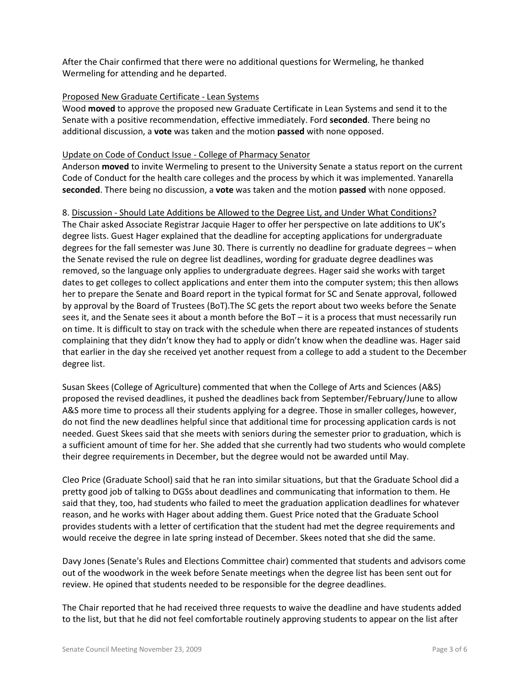After the Chair confirmed that there were no additional questions for Wermeling, he thanked Wermeling for attending and he departed.

### Proposed New Graduate Certificate - Lean Systems

Wood **moved** to approve the proposed new Graduate Certificate in Lean Systems and send it to the Senate with a positive recommendation, effective immediately. Ford **seconded**. There being no additional discussion, a **vote** was taken and the motion **passed** with none opposed.

### Update on Code of Conduct Issue - College of Pharmacy Senator

Anderson **moved** to invite Wermeling to present to the University Senate a status report on the current Code of Conduct for the health care colleges and the process by which it was implemented. Yanarella **seconded**. There being no discussion, a **vote** was taken and the motion **passed** with none opposed.

### 8. Discussion - Should Late Additions be Allowed to the Degree List, and Under What Conditions?

The Chair asked Associate Registrar Jacquie Hager to offer her perspective on late additions to UK's degree lists. Guest Hager explained that the deadline for accepting applications for undergraduate degrees for the fall semester was June 30. There is currently no deadline for graduate degrees – when the Senate revised the rule on degree list deadlines, wording for graduate degree deadlines was removed, so the language only applies to undergraduate degrees. Hager said she works with target dates to get colleges to collect applications and enter them into the computer system; this then allows her to prepare the Senate and Board report in the typical format for SC and Senate approval, followed by approval by the Board of Trustees (BoT).The SC gets the report about two weeks before the Senate sees it, and the Senate sees it about a month before the BoT – it is a process that must necessarily run on time. It is difficult to stay on track with the schedule when there are repeated instances of students complaining that they didn't know they had to apply or didn't know when the deadline was. Hager said that earlier in the day she received yet another request from a college to add a student to the December degree list.

Susan Skees (College of Agriculture) commented that when the College of Arts and Sciences (A&S) proposed the revised deadlines, it pushed the deadlines back from September/February/June to allow A&S more time to process all their students applying for a degree. Those in smaller colleges, however, do not find the new deadlines helpful since that additional time for processing application cards is not needed. Guest Skees said that she meets with seniors during the semester prior to graduation, which is a sufficient amount of time for her. She added that she currently had two students who would complete their degree requirements in December, but the degree would not be awarded until May.

Cleo Price (Graduate School) said that he ran into similar situations, but that the Graduate School did a pretty good job of talking to DGSs about deadlines and communicating that information to them. He said that they, too, had students who failed to meet the graduation application deadlines for whatever reason, and he works with Hager about adding them. Guest Price noted that the Graduate School provides students with a letter of certification that the student had met the degree requirements and would receive the degree in late spring instead of December. Skees noted that she did the same.

Davy Jones (Senate's Rules and Elections Committee chair) commented that students and advisors come out of the woodwork in the week before Senate meetings when the degree list has been sent out for review. He opined that students needed to be responsible for the degree deadlines.

The Chair reported that he had received three requests to waive the deadline and have students added to the list, but that he did not feel comfortable routinely approving students to appear on the list after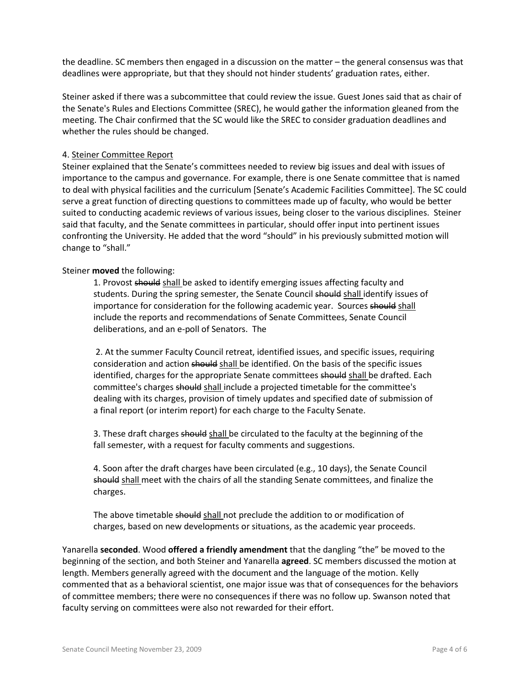the deadline. SC members then engaged in a discussion on the matter – the general consensus was that deadlines were appropriate, but that they should not hinder students' graduation rates, either.

Steiner asked if there was a subcommittee that could review the issue. Guest Jones said that as chair of the Senate's Rules and Elections Committee (SREC), he would gather the information gleaned from the meeting. The Chair confirmed that the SC would like the SREC to consider graduation deadlines and whether the rules should be changed.

### 4. Steiner Committee Report

Steiner explained that the Senate's committees needed to review big issues and deal with issues of importance to the campus and governance. For example, there is one Senate committee that is named to deal with physical facilities and the curriculum [Senate's Academic Facilities Committee]. The SC could serve a great function of directing questions to committees made up of faculty, who would be better suited to conducting academic reviews of various issues, being closer to the various disciplines. Steiner said that faculty, and the Senate committees in particular, should offer input into pertinent issues confronting the University. He added that the word "should" in his previously submitted motion will change to "shall."

### Steiner **moved** the following:

1. Provost should shall be asked to identify emerging issues affecting faculty and students. During the spring semester, the Senate Council should shall identify issues of importance for consideration for the following academic year. Sources should shall include the reports and recommendations of Senate Committees, Senate Council deliberations, and an e-poll of Senators. The

2. At the summer Faculty Council retreat, identified issues, and specific issues, requiring consideration and action should shall be identified. On the basis of the specific issues identified, charges for the appropriate Senate committees should shall be drafted. Each committee's charges should shall include a projected timetable for the committee's dealing with its charges, provision of timely updates and specified date of submission of a final report (or interim report) for each charge to the Faculty Senate.

3. These draft charges should shall be circulated to the faculty at the beginning of the fall semester, with a request for faculty comments and suggestions.

4. Soon after the draft charges have been circulated (e.g., 10 days), the Senate Council should shall meet with the chairs of all the standing Senate committees, and finalize the charges.

The above timetable should shall not preclude the addition to or modification of charges, based on new developments or situations, as the academic year proceeds.

Yanarella **seconded**. Wood **offered a friendly amendment** that the dangling "the" be moved to the beginning of the section, and both Steiner and Yanarella **agreed**. SC members discussed the motion at length. Members generally agreed with the document and the language of the motion. Kelly commented that as a behavioral scientist, one major issue was that of consequences for the behaviors of committee members; there were no consequences if there was no follow up. Swanson noted that faculty serving on committees were also not rewarded for their effort.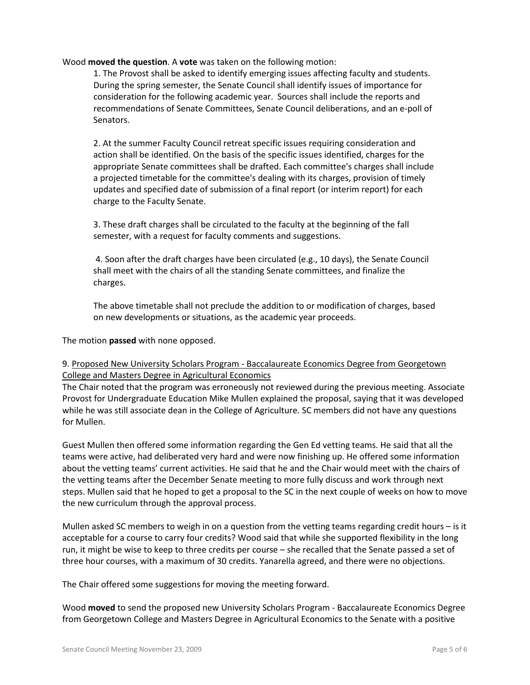Wood **moved the question**. A **vote** was taken on the following motion:

1. The Provost shall be asked to identify emerging issues affecting faculty and students. During the spring semester, the Senate Council shall identify issues of importance for consideration for the following academic year. Sources shall include the reports and recommendations of Senate Committees, Senate Council deliberations, and an e-poll of Senators.

2. At the summer Faculty Council retreat specific issues requiring consideration and action shall be identified. On the basis of the specific issues identified, charges for the appropriate Senate committees shall be drafted. Each committee's charges shall include a projected timetable for the committee's dealing with its charges, provision of timely updates and specified date of submission of a final report (or interim report) for each charge to the Faculty Senate.

3. These draft charges shall be circulated to the faculty at the beginning of the fall semester, with a request for faculty comments and suggestions.

4. Soon after the draft charges have been circulated (e.g., 10 days), the Senate Council shall meet with the chairs of all the standing Senate committees, and finalize the charges.

The above timetable shall not preclude the addition to or modification of charges, based on new developments or situations, as the academic year proceeds.

The motion **passed** with none opposed.

## 9. Proposed New University Scholars Program - Baccalaureate Economics Degree from Georgetown College and Masters Degree in Agricultural Economics

The Chair noted that the program was erroneously not reviewed during the previous meeting. Associate Provost for Undergraduate Education Mike Mullen explained the proposal, saying that it was developed while he was still associate dean in the College of Agriculture. SC members did not have any questions for Mullen.

Guest Mullen then offered some information regarding the Gen Ed vetting teams. He said that all the teams were active, had deliberated very hard and were now finishing up. He offered some information about the vetting teams' current activities. He said that he and the Chair would meet with the chairs of the vetting teams after the December Senate meeting to more fully discuss and work through next steps. Mullen said that he hoped to get a proposal to the SC in the next couple of weeks on how to move the new curriculum through the approval process.

Mullen asked SC members to weigh in on a question from the vetting teams regarding credit hours – is it acceptable for a course to carry four credits? Wood said that while she supported flexibility in the long run, it might be wise to keep to three credits per course – she recalled that the Senate passed a set of three hour courses, with a maximum of 30 credits. Yanarella agreed, and there were no objections.

The Chair offered some suggestions for moving the meeting forward.

Wood **moved** to send the proposed new University Scholars Program - Baccalaureate Economics Degree from Georgetown College and Masters Degree in Agricultural Economics to the Senate with a positive